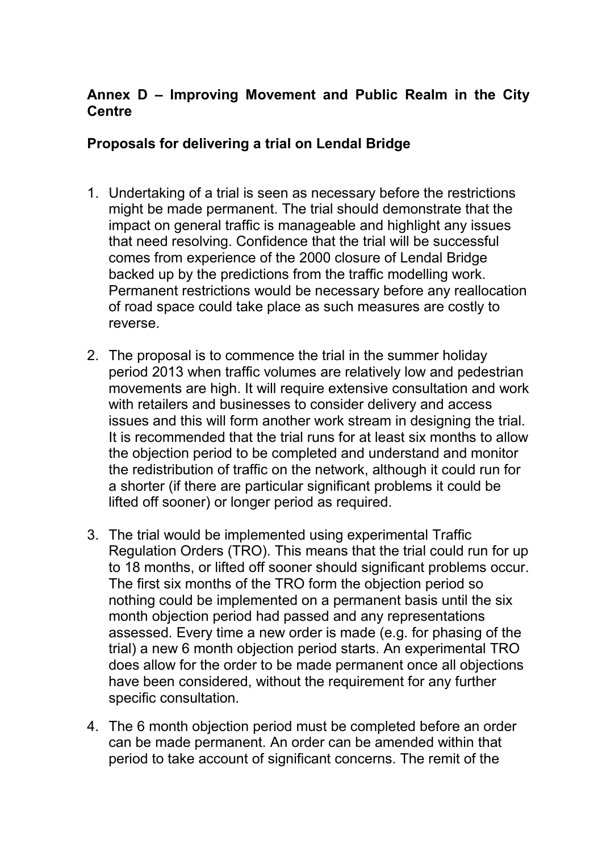## **Annex D – Improving Movement and Public Realm in the City Centre**

### **Proposals for delivering a trial on Lendal Bridge**

- 1. Undertaking of a trial is seen as necessary before the restrictions might be made permanent. The trial should demonstrate that the impact on general traffic is manageable and highlight any issues that need resolving. Confidence that the trial will be successful comes from experience of the 2000 closure of Lendal Bridge backed up by the predictions from the traffic modelling work. Permanent restrictions would be necessary before any reallocation of road space could take place as such measures are costly to reverse.
- 2. The proposal is to commence the trial in the summer holiday period 2013 when traffic volumes are relatively low and pedestrian movements are high. It will require extensive consultation and work with retailers and businesses to consider delivery and access issues and this will form another work stream in designing the trial. It is recommended that the trial runs for at least six months to allow the objection period to be completed and understand and monitor the redistribution of traffic on the network, although it could run for a shorter (if there are particular significant problems it could be lifted off sooner) or longer period as required.
- 3. The trial would be implemented using experimental Traffic Regulation Orders (TRO). This means that the trial could run for up to 18 months, or lifted off sooner should significant problems occur. The first six months of the TRO form the objection period so nothing could be implemented on a permanent basis until the six month objection period had passed and any representations assessed. Every time a new order is made (e.g. for phasing of the trial) a new 6 month objection period starts. An experimental TRO does allow for the order to be made permanent once all objections have been considered, without the requirement for any further specific consultation.
- 4. The 6 month objection period must be completed before an order can be made permanent. An order can be amended within that period to take account of significant concerns. The remit of the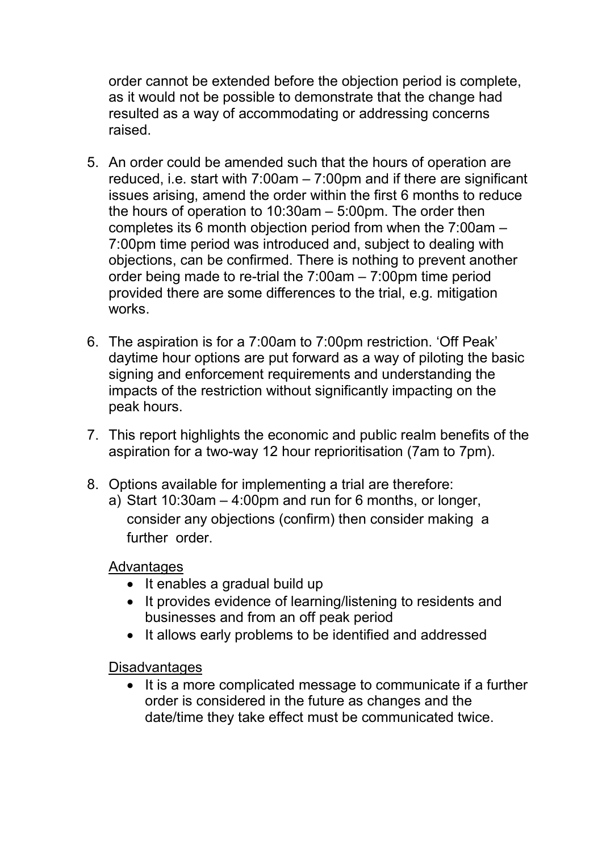order cannot be extended before the objection period is complete, as it would not be possible to demonstrate that the change had resulted as a way of accommodating or addressing concerns raised.

- 5. An order could be amended such that the hours of operation are reduced, i.e. start with 7:00am – 7:00pm and if there are significant issues arising, amend the order within the first 6 months to reduce the hours of operation to 10:30am – 5:00pm. The order then completes its 6 month objection period from when the 7:00am – 7:00pm time period was introduced and, subject to dealing with objections, can be confirmed. There is nothing to prevent another order being made to re-trial the 7:00am – 7:00pm time period provided there are some differences to the trial, e.g. mitigation works.
- 6. The aspiration is for a 7:00am to 7:00pm restriction. 'Off Peak' daytime hour options are put forward as a way of piloting the basic signing and enforcement requirements and understanding the impacts of the restriction without significantly impacting on the peak hours.
- 7. This report highlights the economic and public realm benefits of the aspiration for a two-way 12 hour reprioritisation (7am to 7pm).
- 8. Options available for implementing a trial are therefore:
	- a) Start 10:30am 4:00pm and run for 6 months, or longer, consider any objections (confirm) then consider making a further order

### Advantages

- It enables a gradual build up
- It provides evidence of learning/listening to residents and businesses and from an off peak period
- It allows early problems to be identified and addressed

**Disadvantages** 

• It is a more complicated message to communicate if a further order is considered in the future as changes and the date/time they take effect must be communicated twice.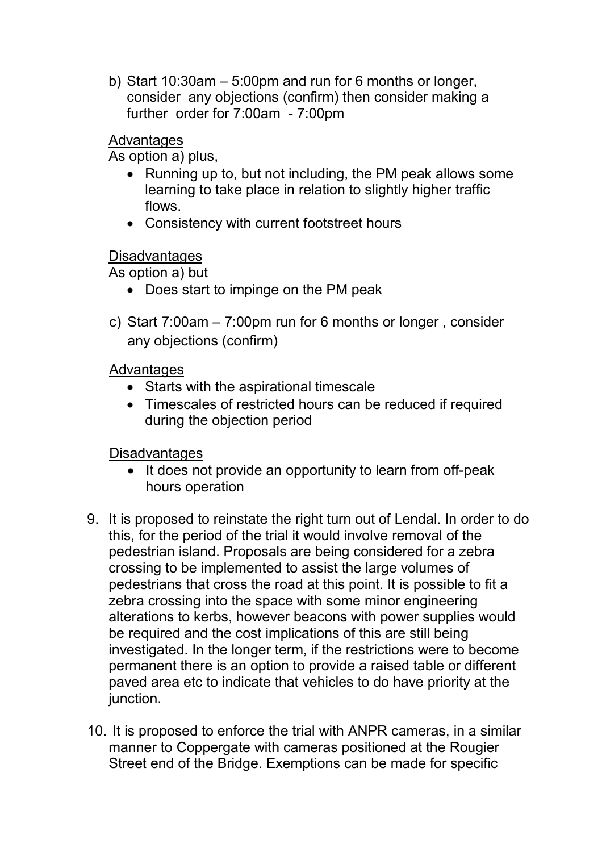b) Start 10:30am – 5:00pm and run for 6 months or longer, consider any objections (confirm) then consider making a further order for 7:00am - 7:00pm

## Advantages

As option a) plus,

- Running up to, but not including, the PM peak allows some learning to take place in relation to slightly higher traffic flows.
- Consistency with current footstreet hours

## **Disadvantages**

As option a) but

- Does start to impinge on the PM peak
- c) Start 7:00am 7:00pm run for 6 months or longer , consider any objections (confirm)

# Advantages

- Starts with the aspirational timescale
- Timescales of restricted hours can be reduced if required during the objection period

# Disadvantages

- It does not provide an opportunity to learn from off-peak hours operation
- 9. It is proposed to reinstate the right turn out of Lendal. In order to do this, for the period of the trial it would involve removal of the pedestrian island. Proposals are being considered for a zebra crossing to be implemented to assist the large volumes of pedestrians that cross the road at this point. It is possible to fit a zebra crossing into the space with some minor engineering alterations to kerbs, however beacons with power supplies would be required and the cost implications of this are still being investigated. In the longer term, if the restrictions were to become permanent there is an option to provide a raised table or different paved area etc to indicate that vehicles to do have priority at the junction.
- 10. It is proposed to enforce the trial with ANPR cameras, in a similar manner to Coppergate with cameras positioned at the Rougier Street end of the Bridge. Exemptions can be made for specific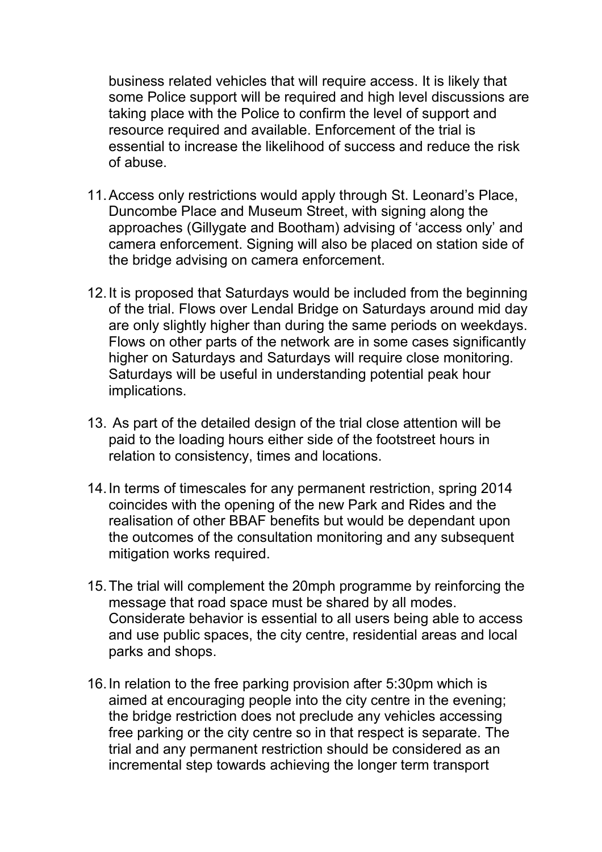business related vehicles that will require access. It is likely that some Police support will be required and high level discussions are taking place with the Police to confirm the level of support and resource required and available. Enforcement of the trial is essential to increase the likelihood of success and reduce the risk of abuse.

- 11. Access only restrictions would apply through St. Leonard's Place, Duncombe Place and Museum Street, with signing along the approaches (Gillygate and Bootham) advising of 'access only' and camera enforcement. Signing will also be placed on station side of the bridge advising on camera enforcement.
- 12. It is proposed that Saturdays would be included from the beginning of the trial. Flows over Lendal Bridge on Saturdays around mid day are only slightly higher than during the same periods on weekdays. Flows on other parts of the network are in some cases significantly higher on Saturdays and Saturdays will require close monitoring. Saturdays will be useful in understanding potential peak hour implications.
- 13. As part of the detailed design of the trial close attention will be paid to the loading hours either side of the footstreet hours in relation to consistency, times and locations.
- 14. In terms of timescales for any permanent restriction, spring 2014 coincides with the opening of the new Park and Rides and the realisation of other BBAF benefits but would be dependant upon the outcomes of the consultation monitoring and any subsequent mitigation works required.
- 15. The trial will complement the 20mph programme by reinforcing the message that road space must be shared by all modes. Considerate behavior is essential to all users being able to access and use public spaces, the city centre, residential areas and local parks and shops.
- 16. In relation to the free parking provision after 5:30pm which is aimed at encouraging people into the city centre in the evening; the bridge restriction does not preclude any vehicles accessing free parking or the city centre so in that respect is separate. The trial and any permanent restriction should be considered as an incremental step towards achieving the longer term transport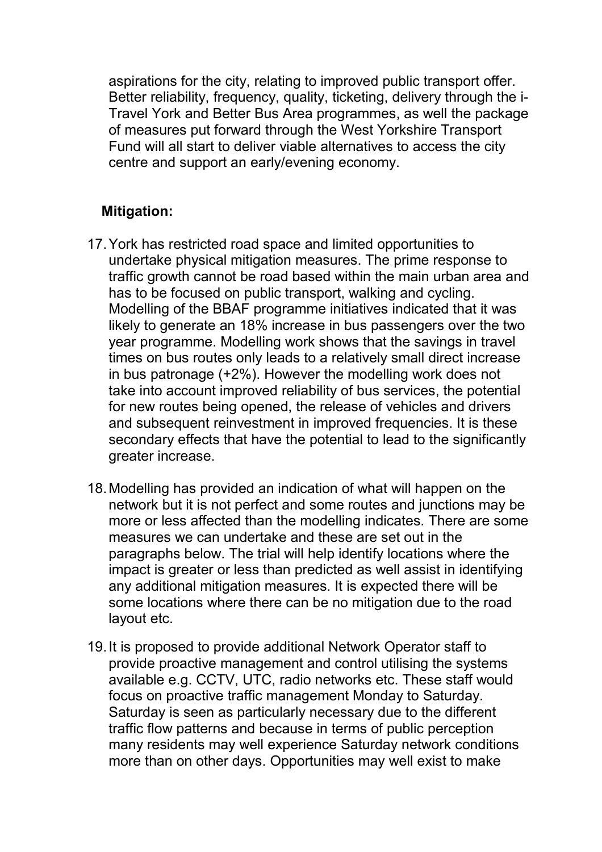aspirations for the city, relating to improved public transport offer. Better reliability, frequency, quality, ticketing, delivery through the i-Travel York and Better Bus Area programmes, as well the package of measures put forward through the West Yorkshire Transport Fund will all start to deliver viable alternatives to access the city centre and support an early/evening economy.

## **Mitigation:**

- 17. York has restricted road space and limited opportunities to undertake physical mitigation measures. The prime response to traffic growth cannot be road based within the main urban area and has to be focused on public transport, walking and cycling. Modelling of the BBAF programme initiatives indicated that it was likely to generate an 18% increase in bus passengers over the two year programme. Modelling work shows that the savings in travel times on bus routes only leads to a relatively small direct increase in bus patronage (+2%). However the modelling work does not take into account improved reliability of bus services, the potential for new routes being opened, the release of vehicles and drivers and subsequent reinvestment in improved frequencies. It is these secondary effects that have the potential to lead to the significantly greater increase.
- 18. Modelling has provided an indication of what will happen on the network but it is not perfect and some routes and junctions may be more or less affected than the modelling indicates. There are some measures we can undertake and these are set out in the paragraphs below. The trial will help identify locations where the impact is greater or less than predicted as well assist in identifying any additional mitigation measures. It is expected there will be some locations where there can be no mitigation due to the road layout etc.
- 19. It is proposed to provide additional Network Operator staff to provide proactive management and control utilising the systems available e.g. CCTV, UTC, radio networks etc. These staff would focus on proactive traffic management Monday to Saturday. Saturday is seen as particularly necessary due to the different traffic flow patterns and because in terms of public perception many residents may well experience Saturday network conditions more than on other days. Opportunities may well exist to make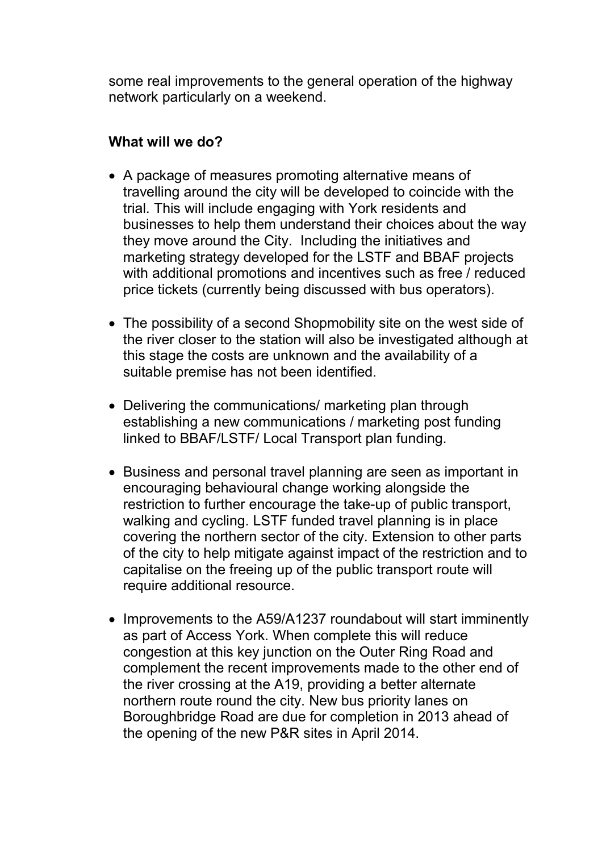some real improvements to the general operation of the highway network particularly on a weekend.

## **What will we do?**

- A package of measures promoting alternative means of travelling around the city will be developed to coincide with the trial. This will include engaging with York residents and businesses to help them understand their choices about the way they move around the City. Including the initiatives and marketing strategy developed for the LSTF and BBAF projects with additional promotions and incentives such as free / reduced price tickets (currently being discussed with bus operators).
- The possibility of a second Shopmobility site on the west side of the river closer to the station will also be investigated although at this stage the costs are unknown and the availability of a suitable premise has not been identified.
- Delivering the communications/ marketing plan through establishing a new communications / marketing post funding linked to BBAF/LSTF/ Local Transport plan funding.
- Business and personal travel planning are seen as important in encouraging behavioural change working alongside the restriction to further encourage the take-up of public transport, walking and cycling. LSTF funded travel planning is in place covering the northern sector of the city. Extension to other parts of the city to help mitigate against impact of the restriction and to capitalise on the freeing up of the public transport route will require additional resource.
- Improvements to the A59/A1237 roundabout will start imminently as part of Access York. When complete this will reduce congestion at this key junction on the Outer Ring Road and complement the recent improvements made to the other end of the river crossing at the A19, providing a better alternate northern route round the city. New bus priority lanes on Boroughbridge Road are due for completion in 2013 ahead of the opening of the new P&R sites in April 2014.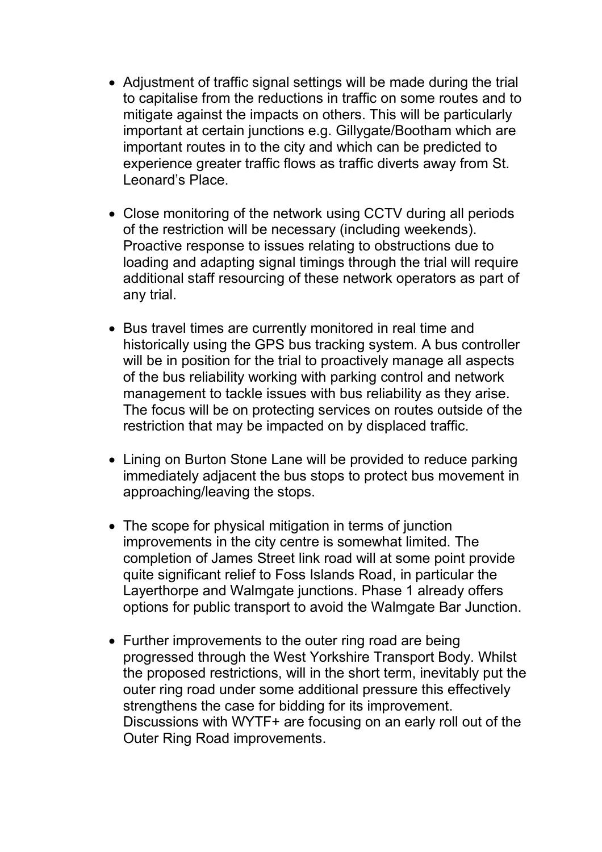- Adjustment of traffic signal settings will be made during the trial to capitalise from the reductions in traffic on some routes and to mitigate against the impacts on others. This will be particularly important at certain junctions e.g. Gillygate/Bootham which are important routes in to the city and which can be predicted to experience greater traffic flows as traffic diverts away from St. Leonard's Place.
- Close monitoring of the network using CCTV during all periods of the restriction will be necessary (including weekends). Proactive response to issues relating to obstructions due to loading and adapting signal timings through the trial will require additional staff resourcing of these network operators as part of any trial.
- Bus travel times are currently monitored in real time and historically using the GPS bus tracking system. A bus controller will be in position for the trial to proactively manage all aspects of the bus reliability working with parking control and network management to tackle issues with bus reliability as they arise. The focus will be on protecting services on routes outside of the restriction that may be impacted on by displaced traffic.
- Lining on Burton Stone Lane will be provided to reduce parking immediately adjacent the bus stops to protect bus movement in approaching/leaving the stops.
- The scope for physical mitigation in terms of junction improvements in the city centre is somewhat limited. The completion of James Street link road will at some point provide quite significant relief to Foss Islands Road, in particular the Layerthorpe and Walmgate junctions. Phase 1 already offers options for public transport to avoid the Walmgate Bar Junction.
- Further improvements to the outer ring road are being progressed through the West Yorkshire Transport Body. Whilst the proposed restrictions, will in the short term, inevitably put the outer ring road under some additional pressure this effectively strengthens the case for bidding for its improvement. Discussions with WYTF+ are focusing on an early roll out of the Outer Ring Road improvements.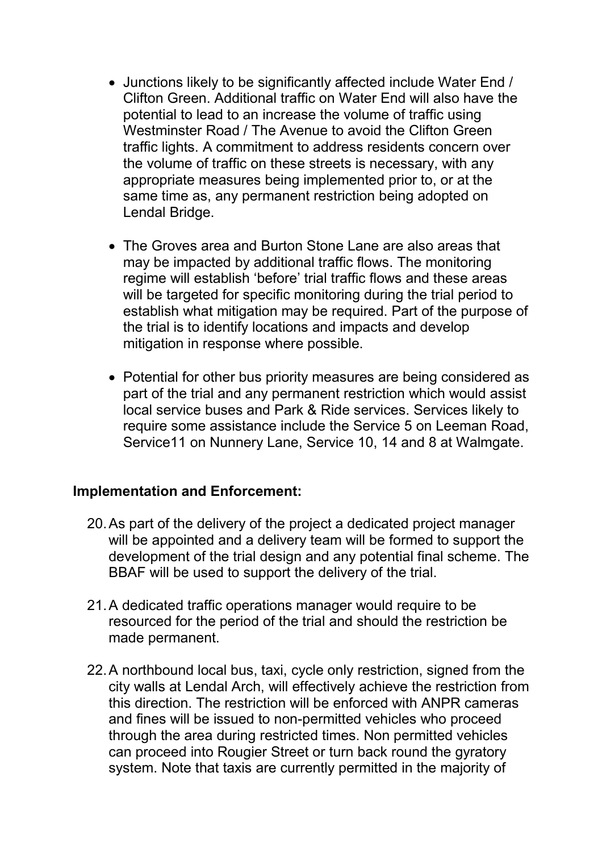- Junctions likely to be significantly affected include Water End / Clifton Green. Additional traffic on Water End will also have the potential to lead to an increase the volume of traffic using Westminster Road / The Avenue to avoid the Clifton Green traffic lights. A commitment to address residents concern over the volume of traffic on these streets is necessary, with any appropriate measures being implemented prior to, or at the same time as, any permanent restriction being adopted on Lendal Bridge.
- The Groves area and Burton Stone Lane are also areas that may be impacted by additional traffic flows. The monitoring regime will establish 'before' trial traffic flows and these areas will be targeted for specific monitoring during the trial period to establish what mitigation may be required. Part of the purpose of the trial is to identify locations and impacts and develop mitigation in response where possible.
- Potential for other bus priority measures are being considered as part of the trial and any permanent restriction which would assist local service buses and Park & Ride services. Services likely to require some assistance include the Service 5 on Leeman Road, Service11 on Nunnery Lane, Service 10, 14 and 8 at Walmgate.

#### **Implementation and Enforcement:**

- 20. As part of the delivery of the project a dedicated project manager will be appointed and a delivery team will be formed to support the development of the trial design and any potential final scheme. The BBAF will be used to support the delivery of the trial.
- 21. A dedicated traffic operations manager would require to be resourced for the period of the trial and should the restriction be made permanent.
- 22. A northbound local bus, taxi, cycle only restriction, signed from the city walls at Lendal Arch, will effectively achieve the restriction from this direction. The restriction will be enforced with ANPR cameras and fines will be issued to non-permitted vehicles who proceed through the area during restricted times. Non permitted vehicles can proceed into Rougier Street or turn back round the gyratory system. Note that taxis are currently permitted in the majority of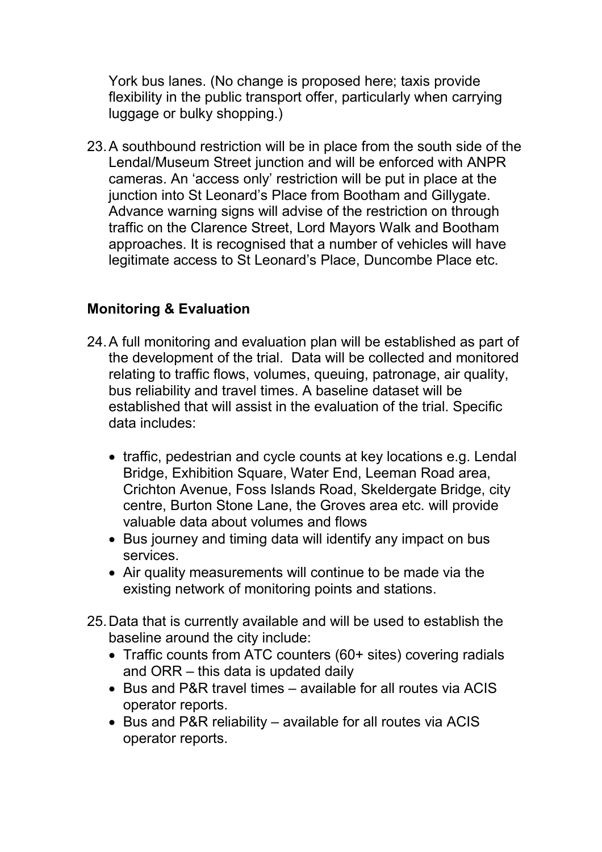York bus lanes. (No change is proposed here; taxis provide flexibility in the public transport offer, particularly when carrying luggage or bulky shopping.)

23. A southbound restriction will be in place from the south side of the Lendal/Museum Street junction and will be enforced with ANPR cameras. An 'access only' restriction will be put in place at the junction into St Leonard's Place from Bootham and Gillygate. Advance warning signs will advise of the restriction on through traffic on the Clarence Street, Lord Mayors Walk and Bootham approaches. It is recognised that a number of vehicles will have legitimate access to St Leonard's Place, Duncombe Place etc.

# **Monitoring & Evaluation**

- 24. A full monitoring and evaluation plan will be established as part of the development of the trial. Data will be collected and monitored relating to traffic flows, volumes, queuing, patronage, air quality, bus reliability and travel times. A baseline dataset will be established that will assist in the evaluation of the trial. Specific data includes:
	- traffic, pedestrian and cycle counts at key locations e.g. Lendal Bridge, Exhibition Square, Water End, Leeman Road area, Crichton Avenue, Foss Islands Road, Skeldergate Bridge, city centre, Burton Stone Lane, the Groves area etc. will provide valuable data about volumes and flows
	- Bus journey and timing data will identify any impact on bus services.
	- Air quality measurements will continue to be made via the existing network of monitoring points and stations.
- 25. Data that is currently available and will be used to establish the baseline around the city include:
	- Traffic counts from ATC counters (60+ sites) covering radials and ORR – this data is updated daily
	- Bus and P&R travel times available for all routes via ACIS operator reports.
	- Bus and P&R reliability available for all routes via ACIS operator reports.